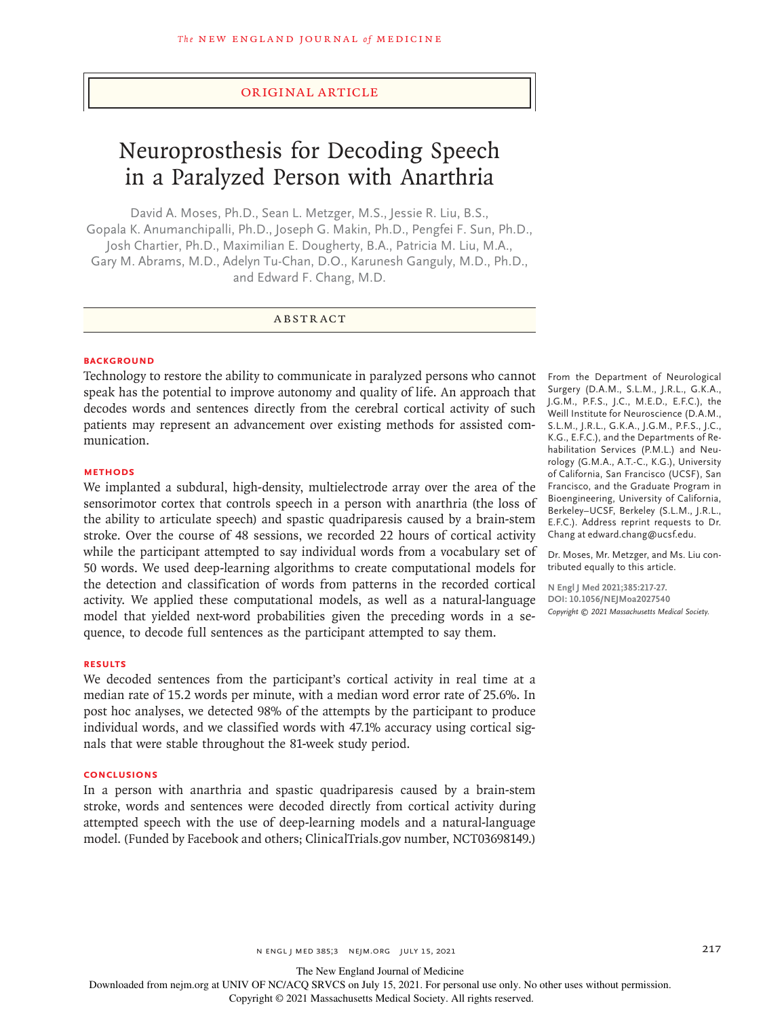## Original Article

# Neuroprosthesis for Decoding Speech in a Paralyzed Person with Anarthria

David A. Moses, Ph.D., Sean L. Metzger, M.S., Jessie R. Liu, B.S., Gopala K. Anumanchipalli, Ph.D., Joseph G. Makin, Ph.D., Pengfei F. Sun, Ph.D., Josh Chartier, Ph.D., Maximilian E. Dougherty, B.A., Patricia M. Liu, M.A., Gary M. Abrams, M.D., Adelyn Tu-Chan, D.O., Karunesh Ganguly, M.D., Ph.D., and Edward F. Chang, M.D.

# ABSTRACT

## **BACKGROUND**

Technology to restore the ability to communicate in paralyzed persons who cannot speak has the potential to improve autonomy and quality of life. An approach that decodes words and sentences directly from the cerebral cortical activity of such patients may represent an advancement over existing methods for assisted communication.

### **METHODS**

We implanted a subdural, high-density, multielectrode array over the area of the sensorimotor cortex that controls speech in a person with anarthria (the loss of the ability to articulate speech) and spastic quadriparesis caused by a brain-stem stroke. Over the course of 48 sessions, we recorded 22 hours of cortical activity while the participant attempted to say individual words from a vocabulary set of 50 words. We used deep-learning algorithms to create computational models for the detection and classification of words from patterns in the recorded cortical activity. We applied these computational models, as well as a natural-language model that yielded next-word probabilities given the preceding words in a sequence, to decode full sentences as the participant attempted to say them.

#### **RESULTS**

We decoded sentences from the participant's cortical activity in real time at a median rate of 15.2 words per minute, with a median word error rate of 25.6%. In post hoc analyses, we detected 98% of the attempts by the participant to produce individual words, and we classified words with 47.1% accuracy using cortical signals that were stable throughout the 81-week study period.

## **CONCLUSIONS**

In a person with anarthria and spastic quadriparesis caused by a brain-stem stroke, words and sentences were decoded directly from cortical activity during attempted speech with the use of deep-learning models and a natural-language model. (Funded by Facebook and others; ClinicalTrials.gov number, NCT03698149.)

From the Department of Neurological Surgery (D.A.M., S.L.M., J.R.L., G.K.A., J.G.M., P.F.S., J.C., M.E.D., E.F.C.), the Weill Institute for Neuroscience (D.A.M., S.L.M., J.R.L., G.K.A., J.G.M., P.F.S., J.C., K.G., E.F.C.), and the Departments of Rehabilitation Services (P.M.L.) and Neurology (G.M.A., A.T.-C., K.G.), University of California, San Francisco (UCSF), San Francisco, and the Graduate Program in Bioengineering, University of California, Berkeley–UCSF, Berkeley (S.L.M., J.R.L., E.F.C.). Address reprint requests to Dr. Chang at edward.chang@ucsf.edu.

Dr. Moses, Mr. Metzger, and Ms. Liu contributed equally to this article.

**N Engl J Med 2021;385:217-27. DOI: 10.1056/NEJMoa2027540** *Copyright © 2021 Massachusetts Medical Society.*

The New England Journal of Medicine

Downloaded from nejm.org at UNIV OF NC/ACQ SRVCS on July 15, 2021. For personal use only. No other uses without permission.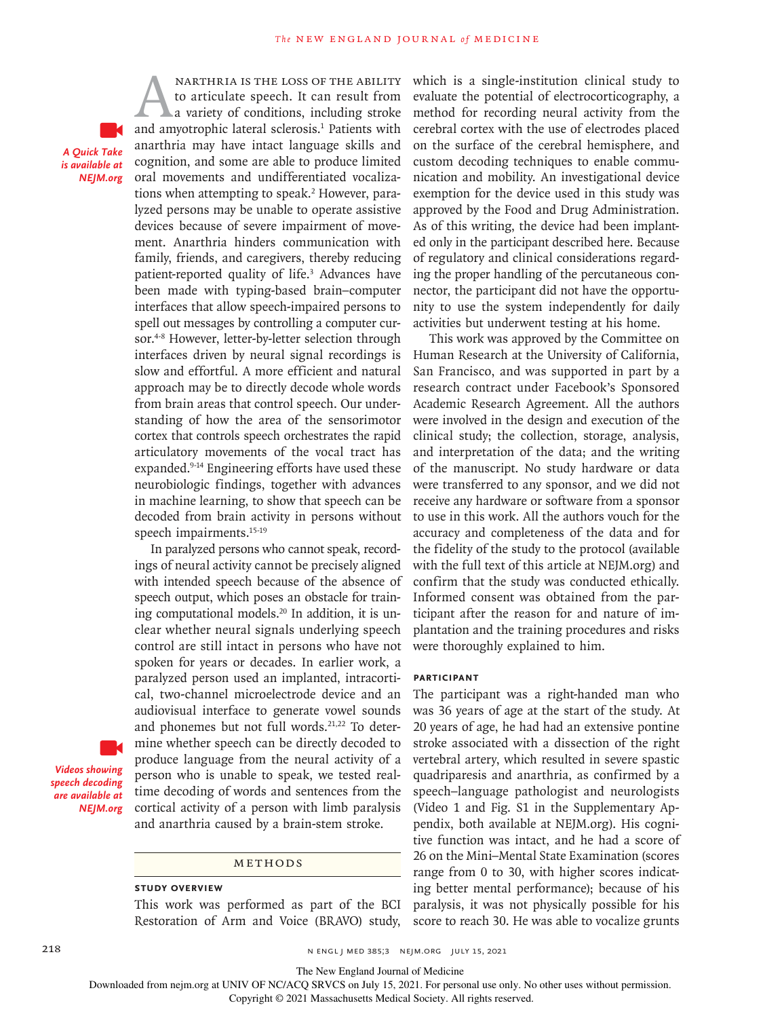*A Quick Take is available at NEJM.org*

MARTHRIA IS THE LOSS OF THE ABILITY<br>to articulate speech. It can result from<br>a variety of conditions, including stroke<br>and amyotrophic lateral sclerosis.<sup>1</sup> Patients with to articulate speech. It can result from a variety of conditions, including stroke anarthria may have intact language skills and cognition, and some are able to produce limited oral movements and undifferentiated vocalizations when attempting to speak.<sup>2</sup> However, paralyzed persons may be unable to operate assistive devices because of severe impairment of movement. Anarthria hinders communication with family, friends, and caregivers, thereby reducing patient-reported quality of life.<sup>3</sup> Advances have been made with typing-based brain–computer interfaces that allow speech-impaired persons to spell out messages by controlling a computer cursor.<sup>4-8</sup> However, letter-by-letter selection through interfaces driven by neural signal recordings is slow and effortful. A more efficient and natural approach may be to directly decode whole words from brain areas that control speech. Our understanding of how the area of the sensorimotor cortex that controls speech orchestrates the rapid articulatory movements of the vocal tract has expanded.<sup>9-14</sup> Engineering efforts have used these neurobiologic findings, together with advances in machine learning, to show that speech can be decoded from brain activity in persons without speech impairments.<sup>15-19</sup>

narthria is the loss of the ability

In paralyzed persons who cannot speak, recordings of neural activity cannot be precisely aligned with intended speech because of the absence of speech output, which poses an obstacle for training computational models.20 In addition, it is unclear whether neural signals underlying speech control are still intact in persons who have not spoken for years or decades. In earlier work, a paralyzed person used an implanted, intracortical, two-channel microelectrode device and an audiovisual interface to generate vowel sounds and phonemes but not full words.<sup>21,22</sup> To determine whether speech can be directly decoded to produce language from the neural activity of a person who is unable to speak, we tested realtime decoding of words and sentences from the cortical activity of a person with limb paralysis and anarthria caused by a brain-stem stroke.

*Videos showing speech decoding are available at NEJM.org*

## Methods

## **Study Overview**

This work was performed as part of the BCI Restoration of Arm and Voice (BRAVO) study, which is a single-institution clinical study to evaluate the potential of electrocorticography, a method for recording neural activity from the cerebral cortex with the use of electrodes placed on the surface of the cerebral hemisphere, and custom decoding techniques to enable communication and mobility. An investigational device exemption for the device used in this study was approved by the Food and Drug Administration. As of this writing, the device had been implanted only in the participant described here. Because of regulatory and clinical considerations regarding the proper handling of the percutaneous connector, the participant did not have the opportunity to use the system independently for daily activities but underwent testing at his home.

This work was approved by the Committee on Human Research at the University of California, San Francisco, and was supported in part by a research contract under Facebook's Sponsored Academic Research Agreement. All the authors were involved in the design and execution of the clinical study; the collection, storage, analysis, and interpretation of the data; and the writing of the manuscript. No study hardware or data were transferred to any sponsor, and we did not receive any hardware or software from a sponsor to use in this work. All the authors vouch for the accuracy and completeness of the data and for the fidelity of the study to the protocol (available with the full text of this article at NEJM.org) and confirm that the study was conducted ethically. Informed consent was obtained from the participant after the reason for and nature of implantation and the training procedures and risks were thoroughly explained to him.

#### **Participant**

The participant was a right-handed man who was 36 years of age at the start of the study. At 20 years of age, he had had an extensive pontine stroke associated with a dissection of the right vertebral artery, which resulted in severe spastic quadriparesis and anarthria, as confirmed by a speech–language pathologist and neurologists (Video 1 and Fig. S1 in the Supplementary Appendix, both available at NEJM.org). His cognitive function was intact, and he had a score of 26 on the Mini–Mental State Examination (scores range from 0 to 30, with higher scores indicating better mental performance); because of his paralysis, it was not physically possible for his score to reach 30. He was able to vocalize grunts

218 **1218** n engl j med 385;3 nejm.org July 15, 2021

The New England Journal of Medicine

Downloaded from nejm.org at UNIV OF NC/ACQ SRVCS on July 15, 2021. For personal use only. No other uses without permission.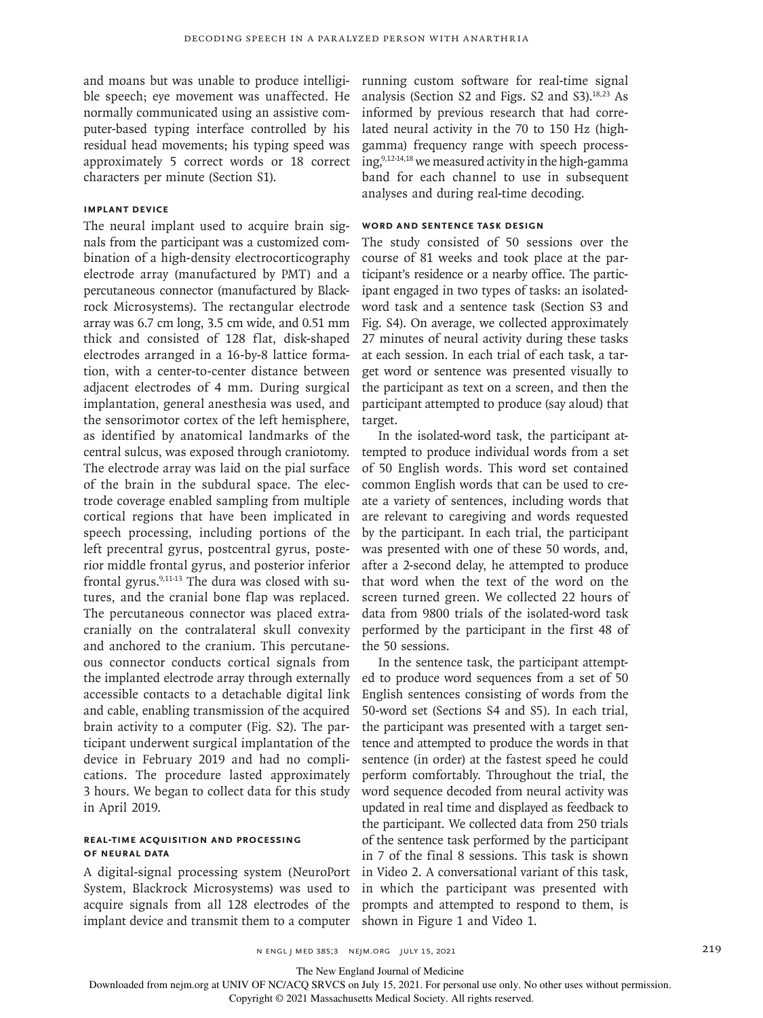and moans but was unable to produce intelligible speech; eye movement was unaffected. He normally communicated using an assistive computer-based typing interface controlled by his residual head movements; his typing speed was approximately 5 correct words or 18 correct characters per minute (Section S1).

## **Implant Device**

The neural implant used to acquire brain signals from the participant was a customized combination of a high-density electrocorticography electrode array (manufactured by PMT) and a percutaneous connector (manufactured by Blackrock Microsystems). The rectangular electrode array was 6.7 cm long, 3.5 cm wide, and 0.51 mm thick and consisted of 128 flat, disk-shaped electrodes arranged in a 16-by-8 lattice formation, with a center-to-center distance between adjacent electrodes of 4 mm. During surgical implantation, general anesthesia was used, and the sensorimotor cortex of the left hemisphere, as identified by anatomical landmarks of the central sulcus, was exposed through craniotomy. The electrode array was laid on the pial surface of the brain in the subdural space. The electrode coverage enabled sampling from multiple cortical regions that have been implicated in speech processing, including portions of the left precentral gyrus, postcentral gyrus, posterior middle frontal gyrus, and posterior inferior frontal gyrus.<sup>9,11-13</sup> The dura was closed with sutures, and the cranial bone flap was replaced. The percutaneous connector was placed extracranially on the contralateral skull convexity and anchored to the cranium. This percutaneous connector conducts cortical signals from the implanted electrode array through externally accessible contacts to a detachable digital link and cable, enabling transmission of the acquired brain activity to a computer (Fig. S2). The participant underwent surgical implantation of the device in February 2019 and had no complications. The procedure lasted approximately 3 hours. We began to collect data for this study in April 2019.

# **Real-Time Acquisition and Processing of Neural Data**

A digital-signal processing system (NeuroPort System, Blackrock Microsystems) was used to acquire signals from all 128 electrodes of the implant device and transmit them to a computer

running custom software for real-time signal analysis (Section S2 and Figs. S2 and S3). $18,23$  As informed by previous research that had correlated neural activity in the 70 to 150 Hz (highgamma) frequency range with speech process $ing<sub>2</sub><sup>9,12-14,18</sup>$  we measured activity in the high-gamma band for each channel to use in subsequent analyses and during real-time decoding.

# **Word and Sentence Task Design**

The study consisted of 50 sessions over the course of 81 weeks and took place at the participant's residence or a nearby office. The participant engaged in two types of tasks: an isolatedword task and a sentence task (Section S3 and Fig. S4). On average, we collected approximately 27 minutes of neural activity during these tasks at each session. In each trial of each task, a target word or sentence was presented visually to the participant as text on a screen, and then the participant attempted to produce (say aloud) that target.

In the isolated-word task, the participant attempted to produce individual words from a set of 50 English words. This word set contained common English words that can be used to create a variety of sentences, including words that are relevant to caregiving and words requested by the participant. In each trial, the participant was presented with one of these 50 words, and, after a 2-second delay, he attempted to produce that word when the text of the word on the screen turned green. We collected 22 hours of data from 9800 trials of the isolated-word task performed by the participant in the first 48 of the 50 sessions.

In the sentence task, the participant attempted to produce word sequences from a set of 50 English sentences consisting of words from the 50-word set (Sections S4 and S5). In each trial, the participant was presented with a target sentence and attempted to produce the words in that sentence (in order) at the fastest speed he could perform comfortably. Throughout the trial, the word sequence decoded from neural activity was updated in real time and displayed as feedback to the participant. We collected data from 250 trials of the sentence task performed by the participant in 7 of the final 8 sessions. This task is shown in Video 2. A conversational variant of this task, in which the participant was presented with prompts and attempted to respond to them, is shown in Figure 1 and Video 1.

n engl j med 385;3 nejm.org July 15, 2021 219

The New England Journal of Medicine

Downloaded from nejm.org at UNIV OF NC/ACQ SRVCS on July 15, 2021. For personal use only. No other uses without permission.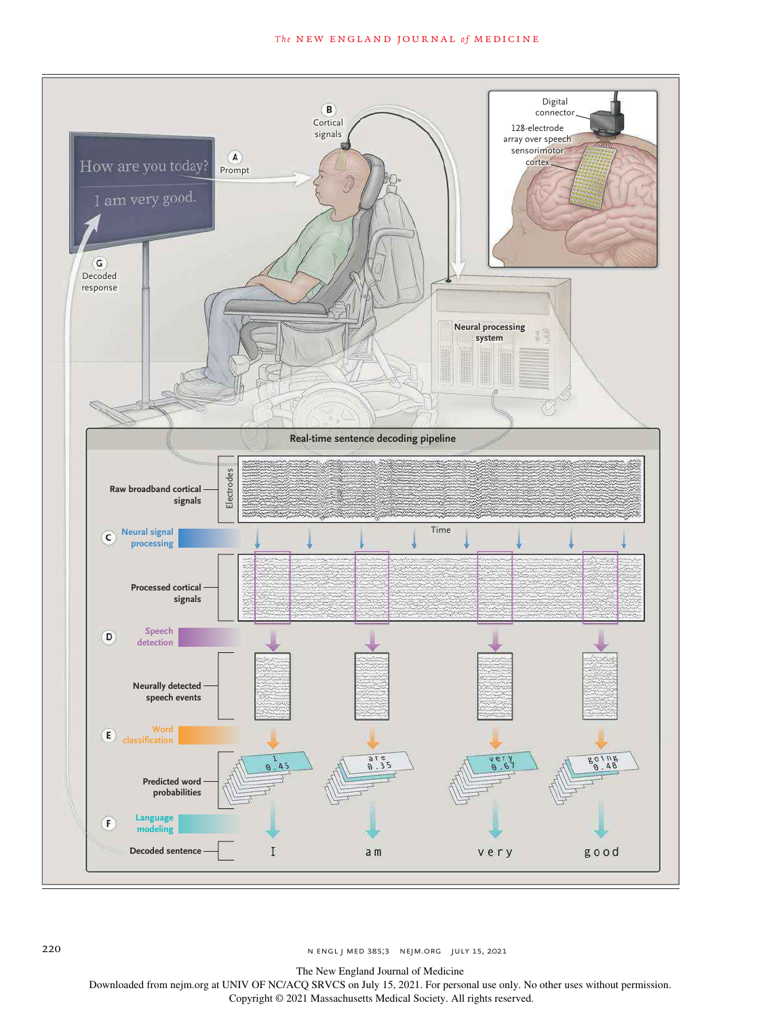## **The NEW ENGLAND JOURNAL of MEDICINE**



220 n engl j med 385;3 nejm.org July 15, 2021

The New England Journal of Medicine

Downloaded from nejm.org at UNIV OF NC/ACQ SRVCS on July 15, 2021. For personal use only. No other uses without permission.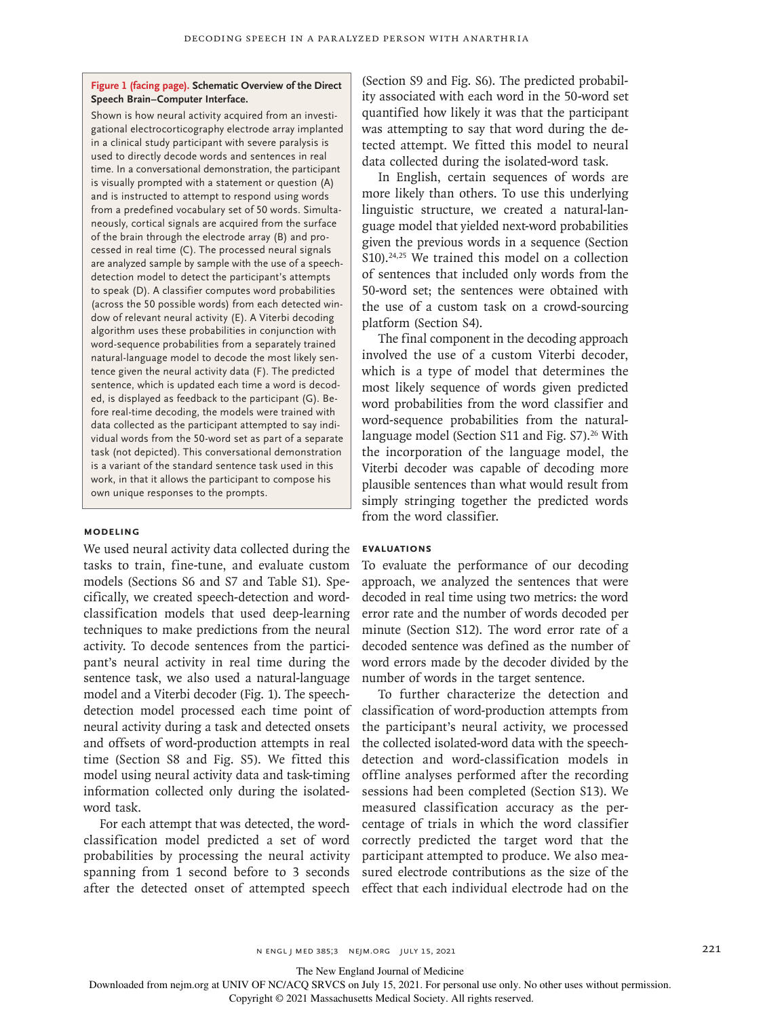## **Figure 1 (facing page). Schematic Overview of the Direct Speech Brain–Computer Interface.**

Shown is how neural activity acquired from an investigational electrocorticography electrode array implanted in a clinical study participant with severe paralysis is used to directly decode words and sentences in real time. In a conversational demonstration, the participant is visually prompted with a statement or question (A) and is instructed to attempt to respond using words from a predefined vocabulary set of 50 words. Simultaneously, cortical signals are acquired from the surface of the brain through the electrode array (B) and processed in real time (C). The processed neural signals are analyzed sample by sample with the use of a speechdetection model to detect the participant's attempts to speak (D). A classifier computes word probabilities (across the 50 possible words) from each detected window of relevant neural activity (E). A Viterbi decoding algorithm uses these probabilities in conjunction with word-sequence probabilities from a separately trained natural-language model to decode the most likely sentence given the neural activity data (F). The predicted sentence, which is updated each time a word is decoded, is displayed as feedback to the participant (G). Before real-time decoding, the models were trained with data collected as the participant attempted to say individual words from the 50-word set as part of a separate task (not depicted). This conversational demonstration is a variant of the standard sentence task used in this work, in that it allows the participant to compose his own unique responses to the prompts.

#### **Modeling**

We used neural activity data collected during the tasks to train, fine-tune, and evaluate custom models (Sections S6 and S7 and Table S1). Specifically, we created speech-detection and wordclassification models that used deep-learning techniques to make predictions from the neural activity. To decode sentences from the participant's neural activity in real time during the sentence task, we also used a natural-language model and a Viterbi decoder (Fig. 1). The speechdetection model processed each time point of neural activity during a task and detected onsets and offsets of word-production attempts in real time (Section S8 and Fig. S5). We fitted this model using neural activity data and task-timing information collected only during the isolatedword task.

For each attempt that was detected, the wordclassification model predicted a set of word probabilities by processing the neural activity spanning from 1 second before to 3 seconds after the detected onset of attempted speech effect that each individual electrode had on the

(Section S9 and Fig. S6). The predicted probability associated with each word in the 50-word set quantified how likely it was that the participant was attempting to say that word during the detected attempt. We fitted this model to neural data collected during the isolated-word task.

In English, certain sequences of words are more likely than others. To use this underlying linguistic structure, we created a natural-language model that yielded next-word probabilities given the previous words in a sequence (Section S10).<sup>24,25</sup> We trained this model on a collection of sentences that included only words from the 50-word set; the sentences were obtained with the use of a custom task on a crowd-sourcing platform (Section S4).

The final component in the decoding approach involved the use of a custom Viterbi decoder, which is a type of model that determines the most likely sequence of words given predicted word probabilities from the word classifier and word-sequence probabilities from the naturallanguage model (Section S11 and Fig. S7).<sup>26</sup> With the incorporation of the language model, the Viterbi decoder was capable of decoding more plausible sentences than what would result from simply stringing together the predicted words from the word classifier.

#### **Evaluations**

To evaluate the performance of our decoding approach, we analyzed the sentences that were decoded in real time using two metrics: the word error rate and the number of words decoded per minute (Section S12). The word error rate of a decoded sentence was defined as the number of word errors made by the decoder divided by the number of words in the target sentence.

To further characterize the detection and classification of word-production attempts from the participant's neural activity, we processed the collected isolated-word data with the speechdetection and word-classification models in offline analyses performed after the recording sessions had been completed (Section S13). We measured classification accuracy as the percentage of trials in which the word classifier correctly predicted the target word that the participant attempted to produce. We also measured electrode contributions as the size of the

The New England Journal of Medicine

Downloaded from nejm.org at UNIV OF NC/ACQ SRVCS on July 15, 2021. For personal use only. No other uses without permission.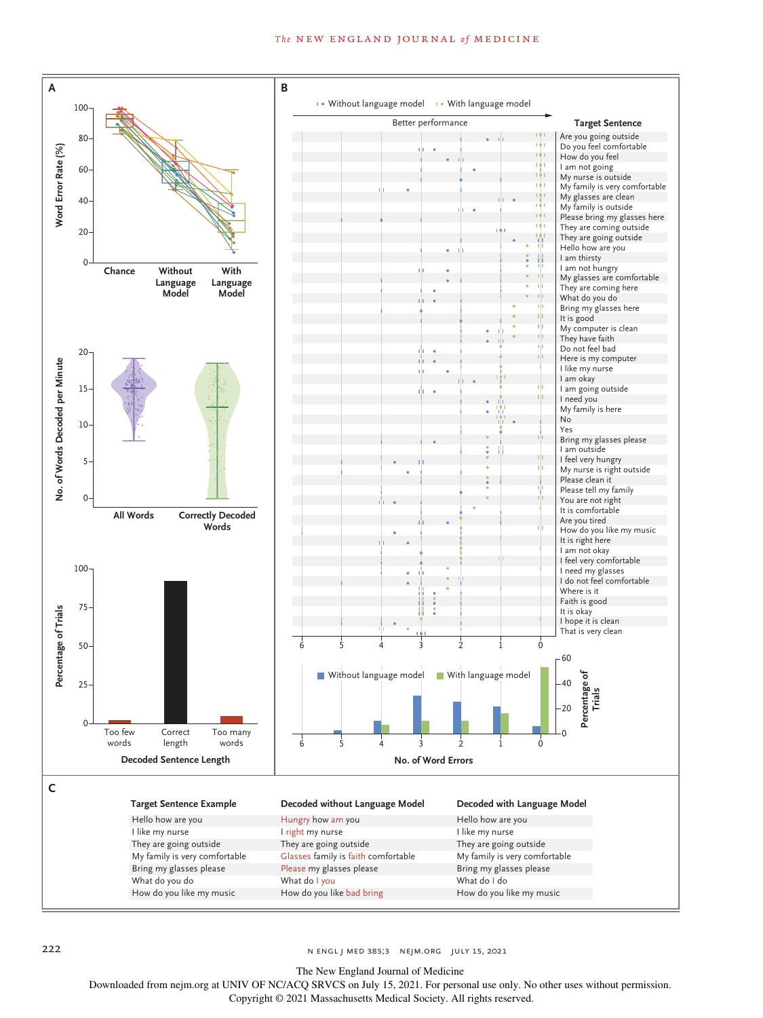#### **The NEW ENGLAND JOURNAL of MEDICINE**



222 **n engl j med 385;3** n engl j med 385;3 nejm.org July 15, 2021

The New England Journal of Medicine

Downloaded from nejm.org at UNIV OF NC/ACQ SRVCS on July 15, 2021. For personal use only. No other uses without permission.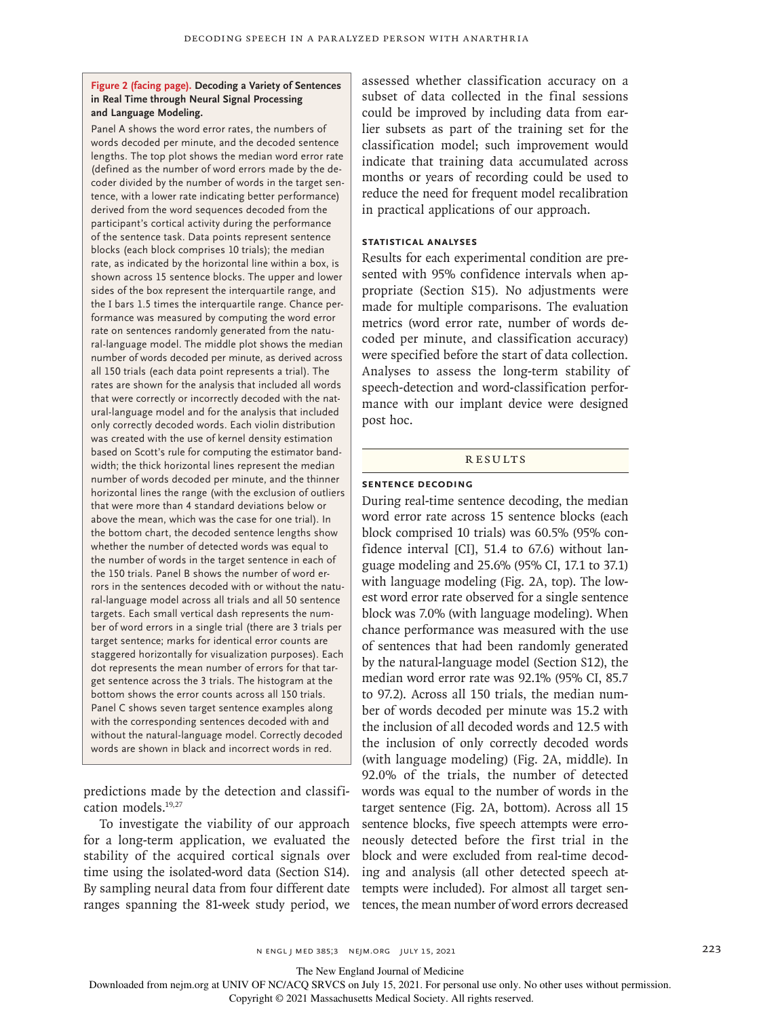## **Figure 2 (facing page). Decoding a Variety of Sentences in Real Time through Neural Signal Processing and Language Modeling.**

Panel A shows the word error rates, the numbers of words decoded per minute, and the decoded sentence lengths. The top plot shows the median word error rate (defined as the number of word errors made by the decoder divided by the number of words in the target sentence, with a lower rate indicating better performance) derived from the word sequences decoded from the participant's cortical activity during the performance of the sentence task. Data points represent sentence blocks (each block comprises 10 trials); the median rate, as indicated by the horizontal line within a box, is shown across 15 sentence blocks. The upper and lower sides of the box represent the interquartile range, and the I bars 1.5 times the interquartile range. Chance performance was measured by computing the word error rate on sentences randomly generated from the natural-language model. The middle plot shows the median number of words decoded per minute, as derived across all 150 trials (each data point represents a trial). The rates are shown for the analysis that included all words that were correctly or incorrectly decoded with the natural-language model and for the analysis that included only correctly decoded words. Each violin distribution was created with the use of kernel density estimation based on Scott's rule for computing the estimator bandwidth; the thick horizontal lines represent the median number of words decoded per minute, and the thinner horizontal lines the range (with the exclusion of outliers that were more than 4 standard deviations below or above the mean, which was the case for one trial). In the bottom chart, the decoded sentence lengths show whether the number of detected words was equal to the number of words in the target sentence in each of the 150 trials. Panel B shows the number of word errors in the sentences decoded with or without the natural-language model across all trials and all 50 sentence targets. Each small vertical dash represents the number of word errors in a single trial (there are 3 trials per target sentence; marks for identical error counts are staggered horizontally for visualization purposes). Each dot represents the mean number of errors for that target sentence across the 3 trials. The histogram at the bottom shows the error counts across all 150 trials. Panel C shows seven target sentence examples along with the corresponding sentences decoded with and without the natural-language model. Correctly decoded words are shown in black and incorrect words in red.

predictions made by the detection and classification models.19,27

To investigate the viability of our approach for a long-term application, we evaluated the stability of the acquired cortical signals over time using the isolated-word data (Section S14). By sampling neural data from four different date ranges spanning the 81-week study period, we assessed whether classification accuracy on a subset of data collected in the final sessions could be improved by including data from earlier subsets as part of the training set for the classification model; such improvement would indicate that training data accumulated across months or years of recording could be used to reduce the need for frequent model recalibration in practical applications of our approach.

# **Statistical Analyses**

Results for each experimental condition are presented with 95% confidence intervals when appropriate (Section S15). No adjustments were made for multiple comparisons. The evaluation metrics (word error rate, number of words decoded per minute, and classification accuracy) were specified before the start of data collection. Analyses to assess the long-term stability of speech-detection and word-classification performance with our implant device were designed post hoc.

#### RESULTS

## **Sentence Decoding**

During real-time sentence decoding, the median word error rate across 15 sentence blocks (each block comprised 10 trials) was 60.5% (95% confidence interval [CI], 51.4 to 67.6) without language modeling and 25.6% (95% CI, 17.1 to 37.1) with language modeling (Fig. 2A, top). The lowest word error rate observed for a single sentence block was 7.0% (with language modeling). When chance performance was measured with the use of sentences that had been randomly generated by the natural-language model (Section S12), the median word error rate was 92.1% (95% CI, 85.7 to 97.2). Across all 150 trials, the median number of words decoded per minute was 15.2 with the inclusion of all decoded words and 12.5 with the inclusion of only correctly decoded words (with language modeling) (Fig. 2A, middle). In 92.0% of the trials, the number of detected words was equal to the number of words in the target sentence (Fig. 2A, bottom). Across all 15 sentence blocks, five speech attempts were erroneously detected before the first trial in the block and were excluded from real-time decoding and analysis (all other detected speech attempts were included). For almost all target sentences, the mean number of word errors decreased

n ENGL | MED 385;3 NEJM.ORG JULY 15, 2021 223

The New England Journal of Medicine

Downloaded from nejm.org at UNIV OF NC/ACQ SRVCS on July 15, 2021. For personal use only. No other uses without permission.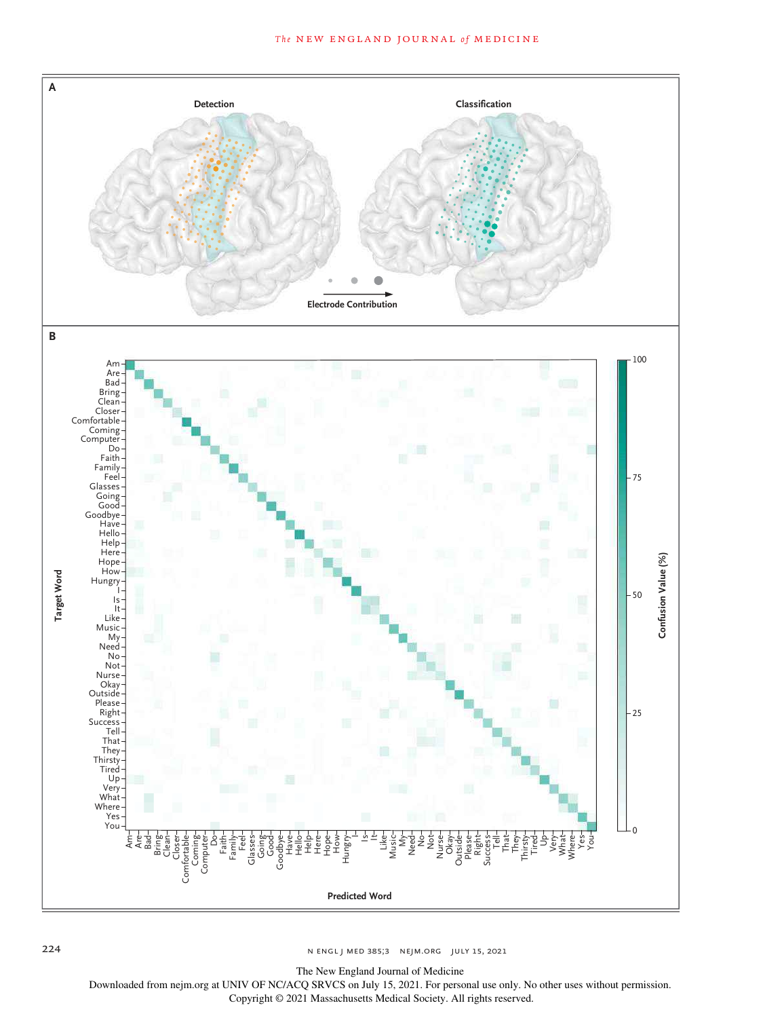

224 n engl j med 385;3 nejm.org July 15, 2021

The New England Journal of Medicine

Downloaded from nejm.org at UNIV OF NC/ACQ SRVCS on July 15, 2021. For personal use only. No other uses without permission.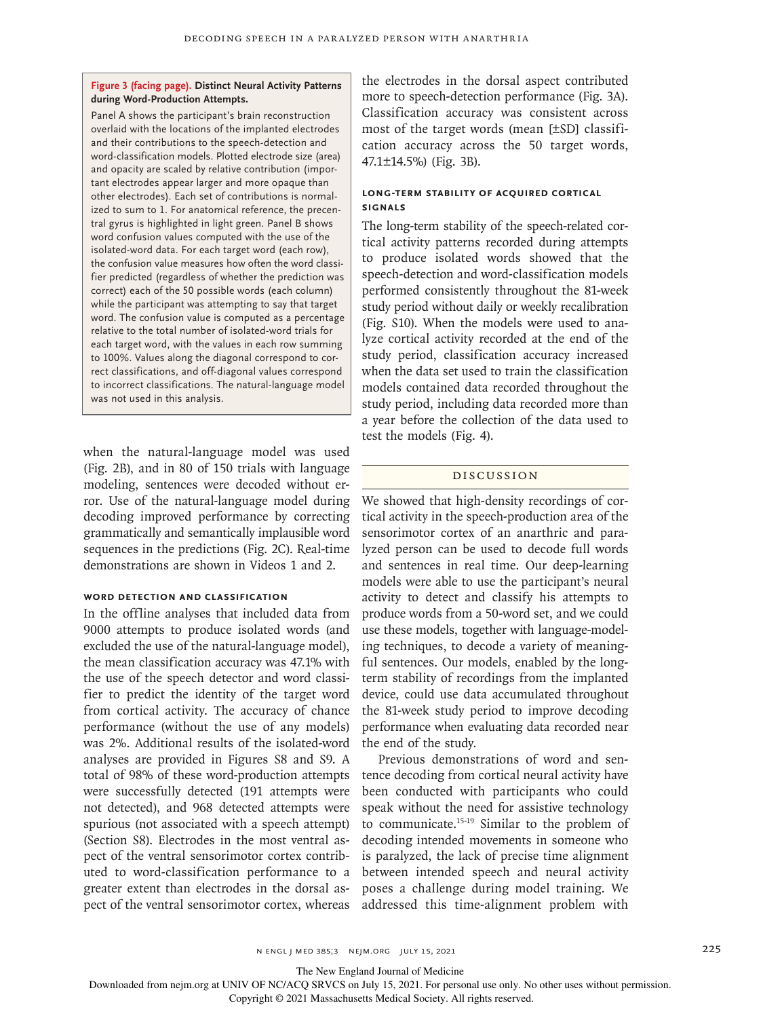## **Figure 3 (facing page). Distinct Neural Activity Patterns during Word-Production Attempts.**

Panel A shows the participant's brain reconstruction overlaid with the locations of the implanted electrodes and their contributions to the speech-detection and word-classification models. Plotted electrode size (area) and opacity are scaled by relative contribution (important electrodes appear larger and more opaque than other electrodes). Each set of contributions is normalized to sum to 1. For anatomical reference, the precentral gyrus is highlighted in light green. Panel B shows word confusion values computed with the use of the isolated-word data. For each target word (each row), the confusion value measures how often the word classifier predicted (regardless of whether the prediction was correct) each of the 50 possible words (each column) while the participant was attempting to say that target word. The confusion value is computed as a percentage relative to the total number of isolated-word trials for each target word, with the values in each row summing to 100%. Values along the diagonal correspond to correct classifications, and off-diagonal values correspond to incorrect classifications. The natural-language model was not used in this analysis.

when the natural-language model was used (Fig. 2B), and in 80 of 150 trials with language modeling, sentences were decoded without error. Use of the natural-language model during decoding improved performance by correcting grammatically and semantically implausible word sequences in the predictions (Fig. 2C). Real-time demonstrations are shown in Videos 1 and 2.

# **Word Detection and Classification**

In the offline analyses that included data from 9000 attempts to produce isolated words (and excluded the use of the natural-language model), the mean classification accuracy was 47.1% with the use of the speech detector and word classifier to predict the identity of the target word from cortical activity. The accuracy of chance performance (without the use of any models) was 2%. Additional results of the isolated-word analyses are provided in Figures S8 and S9. A total of 98% of these word-production attempts were successfully detected (191 attempts were not detected), and 968 detected attempts were spurious (not associated with a speech attempt) (Section S8). Electrodes in the most ventral aspect of the ventral sensorimotor cortex contributed to word-classification performance to a greater extent than electrodes in the dorsal aspect of the ventral sensorimotor cortex, whereas

the electrodes in the dorsal aspect contributed more to speech-detection performance (Fig. 3A). Classification accuracy was consistent across most of the target words (mean [±SD] classification accuracy across the 50 target words, 47.1±14.5%) (Fig. 3B).

## **Long-Term Stability of Acquired Cortical Signals**

The long-term stability of the speech-related cortical activity patterns recorded during attempts to produce isolated words showed that the speech-detection and word-classification models performed consistently throughout the 81-week study period without daily or weekly recalibration (Fig. S10). When the models were used to analyze cortical activity recorded at the end of the study period, classification accuracy increased when the data set used to train the classification models contained data recorded throughout the study period, including data recorded more than a year before the collection of the data used to test the models (Fig. 4).

## Discussion

We showed that high-density recordings of cortical activity in the speech-production area of the sensorimotor cortex of an anarthric and paralyzed person can be used to decode full words and sentences in real time. Our deep-learning models were able to use the participant's neural activity to detect and classify his attempts to produce words from a 50-word set, and we could use these models, together with language-modeling techniques, to decode a variety of meaningful sentences. Our models, enabled by the longterm stability of recordings from the implanted device, could use data accumulated throughout the 81-week study period to improve decoding performance when evaluating data recorded near the end of the study.

Previous demonstrations of word and sentence decoding from cortical neural activity have been conducted with participants who could speak without the need for assistive technology to communicate.15-19 Similar to the problem of decoding intended movements in someone who is paralyzed, the lack of precise time alignment between intended speech and neural activity poses a challenge during model training. We addressed this time-alignment problem with

The New England Journal of Medicine

Downloaded from nejm.org at UNIV OF NC/ACQ SRVCS on July 15, 2021. For personal use only. No other uses without permission.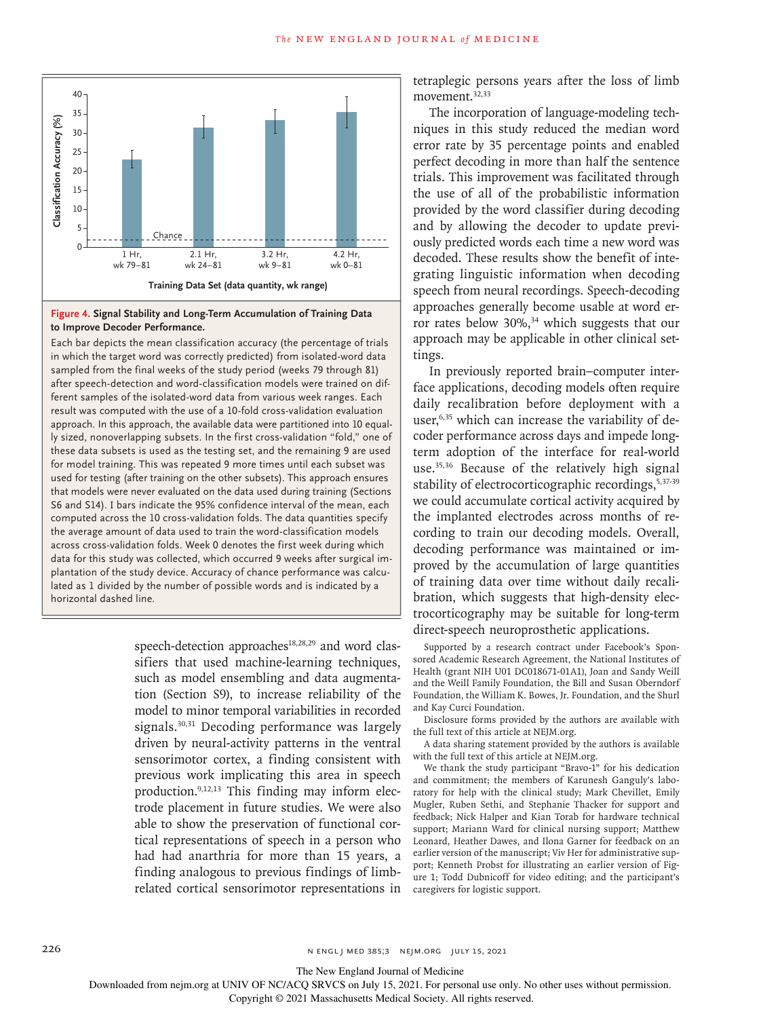

#### **Figure 4. Signal Stability and Long-Term Accumulation of Training Data to Improve Decoder Performance.**

Each bar depicts the mean classification accuracy (the percentage of trials in which the target word was correctly predicted) from isolated-word data sampled from the final weeks of the study period (weeks 79 through 81) after speech-detection and word-classification models were trained on different samples of the isolated-word data from various week ranges. Each result was computed with the use of a 10-fold cross-validation evaluation approach. In this approach, the available data were partitioned into 10 equally sized, nonoverlapping subsets. In the first cross-validation "fold," one of these data subsets is used as the testing set, and the remaining 9 are used for model training. This was repeated 9 more times until each subset was used for testing (after training on the other subsets). This approach ensures that models were never evaluated on the data used during training (Sections S6 and S14). I bars indicate the 95% confidence interval of the mean, each computed across the 10 cross-validation folds. The data quantities specify the average amount of data used to train the word-classification models across cross-validation folds. Week 0 denotes the first week during which data for this study was collected, which occurred 9 weeks after surgical implantation of the study device. Accuracy of chance performance was calculated as 1 divided by the number of possible words and is indicated by a Moreover 1<br>
Secondary 25<br>
The strength of the strength of the strength of the strength of the strength of the strength of the strength of the strength of the strength of the strength of the strength of the strength of the

> speech-detection approaches<sup>18,28,29</sup> and word classifiers that used machine-learning techniques, such as model ensembling and data augmentation (Section S9), to increase reliability of the model to minor temporal variabilities in recorded signals.<sup>30,31</sup> Decoding performance was largely driven by neural-activity patterns in the ventral sensorimotor cortex, a finding consistent with previous work implicating this area in speech production.9,12,13 This finding may inform electrode placement in future studies. We were also able to show the preservation of functional cortical representations of speech in a person who had had anarthria for more than 15 years, a finding analogous to previous findings of limbrelated cortical sensorimotor representations in

tetraplegic persons years after the loss of limb movement.<sup>32,33</sup>

The incorporation of language-modeling techniques in this study reduced the median word error rate by 35 percentage points and enabled perfect decoding in more than half the sentence trials. This improvement was facilitated through the use of all of the probabilistic information provided by the word classifier during decoding and by allowing the decoder to update previously predicted words each time a new word was decoded. These results show the benefit of integrating linguistic information when decoding speech from neural recordings. Speech-decoding approaches generally become usable at word error rates below 30%,<sup>34</sup> which suggests that our approach may be applicable in other clinical settings.

In previously reported brain–computer interface applications, decoding models often require daily recalibration before deployment with a user,<sup>6,35</sup> which can increase the variability of decoder performance across days and impede longterm adoption of the interface for real-world use.35,36 Because of the relatively high signal stability of electrocorticographic recordings, 5,37-39 we could accumulate cortical activity acquired by the implanted electrodes across months of recording to train our decoding models. Overall, decoding performance was maintained or improved by the accumulation of large quantities of training data over time without daily recalibration, which suggests that high-density electrocorticography may be suitable for long-term direct-speech neuroprosthetic applications.

Supported by a research contract under Facebook's Sponsored Academic Research Agreement, the National Institutes of Health (grant NIH U01 DC018671-01A1), Joan and Sandy Weill and the Weill Family Foundation, the Bill and Susan Oberndorf Foundation, the William K. Bowes, Jr. Foundation, and the Shurl and Kay Curci Foundation.

Disclosure forms provided by the authors are available with the full text of this article at NEJM.org.

A data sharing statement provided by the authors is available with the full text of this article at NEJM.org.

We thank the study participant "Bravo-1" for his dedication and commitment; the members of Karunesh Ganguly's laboratory for help with the clinical study; Mark Chevillet, Emily Mugler, Ruben Sethi, and Stephanie Thacker for support and feedback; Nick Halper and Kian Torab for hardware technical support; Mariann Ward for clinical nursing support; Matthew Leonard, Heather Dawes, and Ilona Garner for feedback on an earlier version of the manuscript; Viv Her for administrative support; Kenneth Probst for illustrating an earlier version of Figure 1; Todd Dubnicoff for video editing; and the participant's caregivers for logistic support.

The New England Journal of Medicine

Downloaded from nejm.org at UNIV OF NC/ACQ SRVCS on July 15, 2021. For personal use only. No other uses without permission.